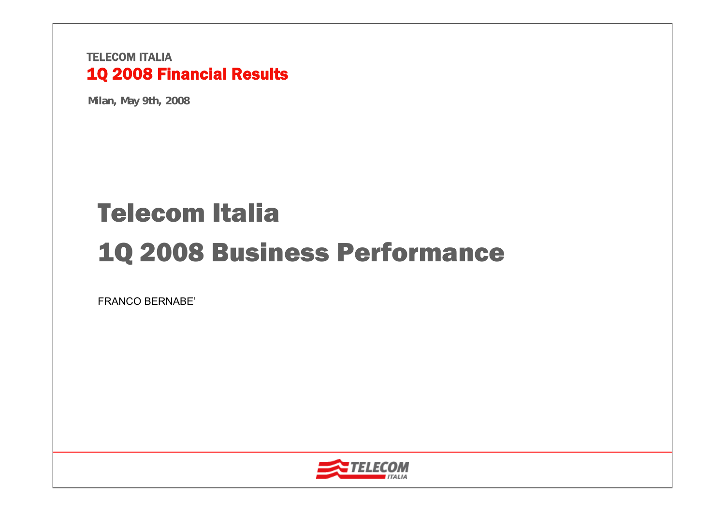**Milan, May 9th, 2008**

# Telecom Italia1Q 2008 Business Performance

FRANCO BERNABE'

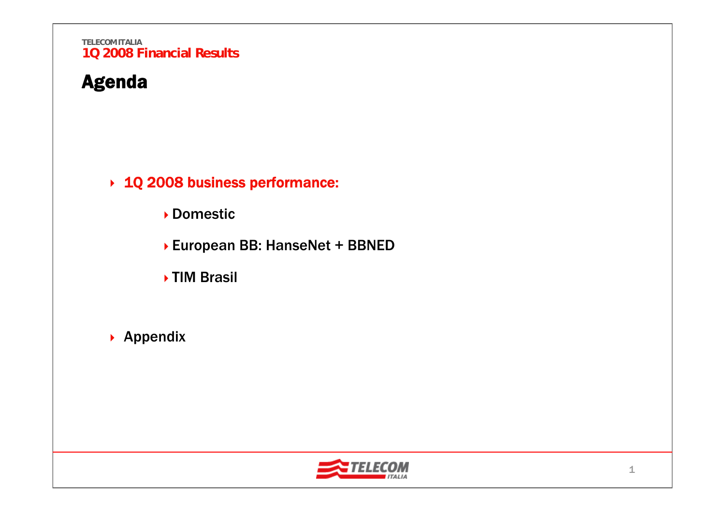## Agenda

1Q 2008 business performance:

Domestic

European BB: HanseNet + BBNED

**▶TIM Brasil** 

 $\rightarrow$  Appendix

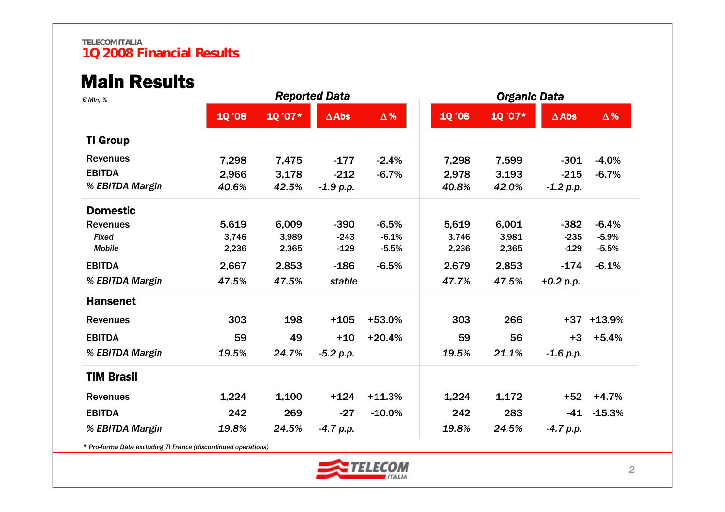### Main Results

| € MIn, %                                                       |               |        | <b>Reported Data</b> |            | <b>Organic Data</b> |        |              |                |  |
|----------------------------------------------------------------|---------------|--------|----------------------|------------|---------------------|--------|--------------|----------------|--|
|                                                                | <b>10 '08</b> | 1Q'07* | $\Delta$ Abs         | $\Delta$ % | <b>10 '08</b>       | 10'07* | $\Delta$ Abs | $\Delta$ %     |  |
| <b>TI Group</b>                                                |               |        |                      |            |                     |        |              |                |  |
| <b>Revenues</b>                                                | 7,298         | 7,475  | $-177$               | $-2.4%$    | 7,298               | 7,599  | $-301$       | $-4.0%$        |  |
| <b>EBITDA</b>                                                  | 2,966         | 3,178  | $-212$               | $-6.7%$    | 2,978               | 3,193  | $-215$       | $-6.7%$        |  |
| % EBITDA Margin                                                | 40.6%         | 42.5%  | $-1.9 p.p.$          |            | 40.8%               | 42.0%  | $-1.2 p.p.$  |                |  |
| <b>Domestic</b>                                                |               |        |                      |            |                     |        |              |                |  |
| <b>Revenues</b>                                                | 5,619         | 6,009  | $-390$               | $-6.5%$    | 5,619               | 6,001  | $-382$       | $-6.4%$        |  |
| Fixed                                                          | 3,746         | 3,989  | $-243$               | $-6.1%$    | 3,746               | 3,981  | $-235$       | $-5.9%$        |  |
| <b>Mobile</b>                                                  | 2,236         | 2,365  | $-129$               | $-5.5%$    | 2,236               | 2,365  | $-129$       | $-5.5%$        |  |
| <b>EBITDA</b>                                                  | 2,667         | 2,853  | $-186$               | $-6.5%$    | 2,679               | 2,853  | $-174$       | $-6.1%$        |  |
| % EBITDA Margin                                                | 47.5%         | 47.5%  | stable               |            | 47.7%               | 47.5%  | $+0.2 p.p.$  |                |  |
| <b>Hansenet</b>                                                |               |        |                      |            |                     |        |              |                |  |
| <b>Revenues</b>                                                | 303           | 198    | $+105$               | +53.0%     | 303                 | 266    |              | $+37$ $+13.9%$ |  |
| <b>EBITDA</b>                                                  | 59            | 49     | $+10$                | $+20.4%$   | 59                  | 56     | $+3$         | $+5.4%$        |  |
| % EBITDA Margin                                                | 19.5%         | 24.7%  | $-5.2 p.p.$          |            | 19.5%               | 21.1%  | $-1.6 p.p.$  |                |  |
| <b>TIM Brasil</b>                                              |               |        |                      |            |                     |        |              |                |  |
| <b>Revenues</b>                                                | 1,224         | 1,100  | $+124$               | $+11.3%$   | 1,224               | 1,172  | $+52$        | $+4.7%$        |  |
| <b>EBITDA</b>                                                  | 242           | 269    | $-27$                | $-10.0%$   | 242                 | 283    | $-41$        | $-15.3%$       |  |
| % EBITDA Margin                                                | 19.8%         | 24.5%  | $-4.7 p.p.$          |            | 19.8%               | 24.5%  | $-4.7 p.p.$  |                |  |
| * Pro-forma Data excluding TI France (discontinued operations) |               |        |                      |            |                     |        |              |                |  |

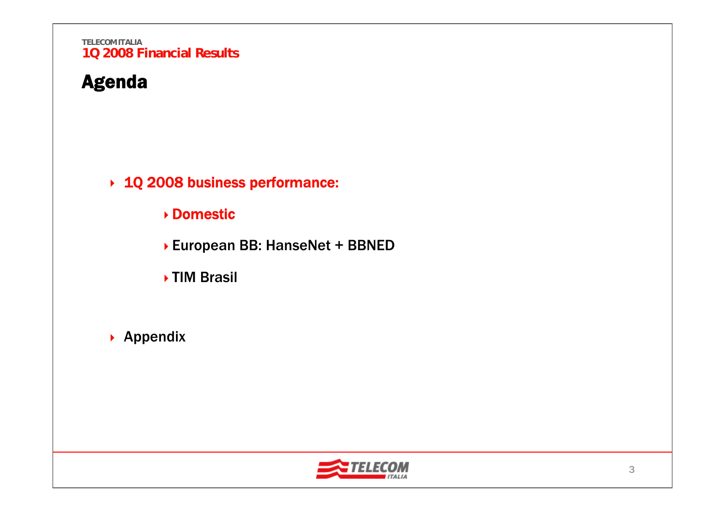## Agenda

1Q 2008 business performance:

### Domestic

European BB: HanseNet + BBNED

**▶TIM Brasil** 

 $\rightarrow$  Appendix

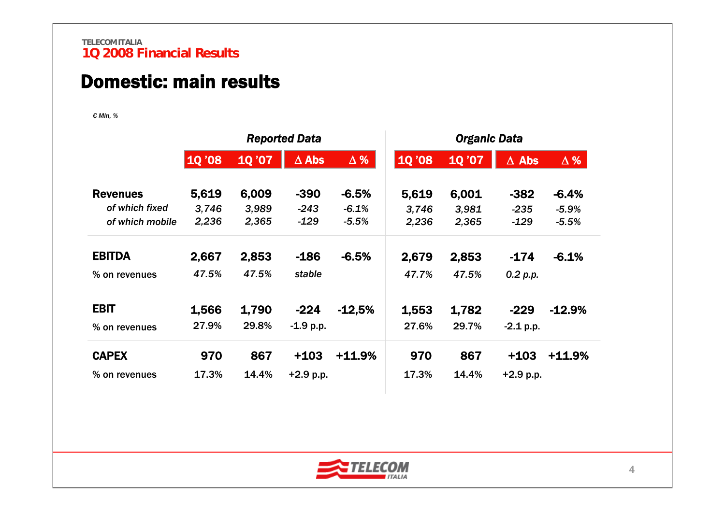### Domestic: main results

*€ Mln, %*

|                 |        |       | <b>Reported Data</b> |            | <b>Organic Data</b> |       |              |            |  |  |
|-----------------|--------|-------|----------------------|------------|---------------------|-------|--------------|------------|--|--|
|                 | 1Q '08 | 10'07 | $\Delta$ Abs         | $\Delta$ % | <b>10 '08</b>       | 10'07 | $\Delta$ Abs | $\Delta$ % |  |  |
| <b>Revenues</b> | 5,619  | 6,009 | $-390$               | $-6.5%$    | 5,619               | 6,001 | $-382$       | $-6.4%$    |  |  |
| of which fixed  | 3,746  | 3,989 | $-243$               | $-6.1%$    | 3,746               | 3,981 | $-235$       | $-5.9%$    |  |  |
| of which mobile | 2,236  | 2,365 | $-129$               | $-5.5%$    | 2,236               | 2,365 | $-129$       | $-5.5%$    |  |  |
| <b>EBITDA</b>   | 2,667  | 2,853 | $-186$               | $-6.5%$    | 2,679               | 2,853 | $-174$       | $-6.1%$    |  |  |
| % on revenues   | 47.5%  | 47.5% | stable               |            | 47.7%               | 47.5% | 0.2 p.p.     |            |  |  |
| <b>EBIT</b>     | 1,566  | 1,790 | $-224$               | $-12,5%$   | 1,553               | 1,782 | $-229$       | $-12.9%$   |  |  |
| % on revenues   | 27.9%  | 29.8% | $-1.9 p.p.$          |            | 27.6%               | 29.7% | $-2.1$ p.p.  |            |  |  |
| <b>CAPEX</b>    | 970    | 867   | $+103$               | $+11.9%$   | 970                 | 867   | $+103$       | $+11.9%$   |  |  |
| % on revenues   | 17.3%  | 14.4% | $+2.9$ p.p.          |            | 17.3%               | 14.4% | $+2.9 p.p.$  |            |  |  |

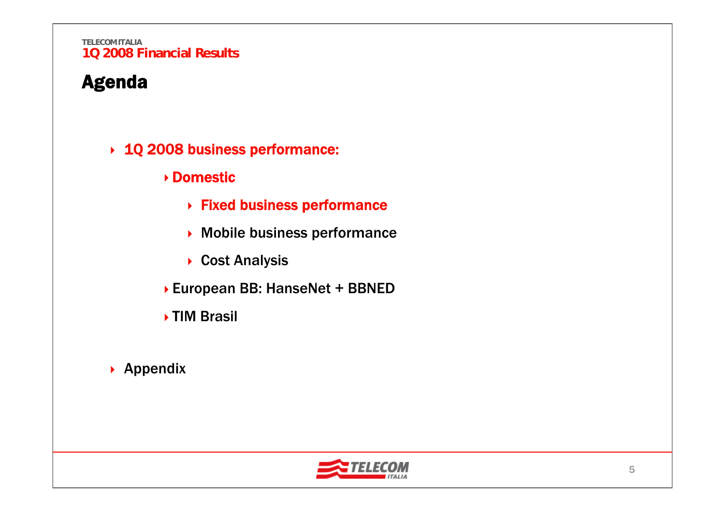## Agenda

- 1Q 2008 business performance:
	- Domestic
		- Fixed business performance
		- Mobile business performance
		- ▶ Cost Analysis
	- European BB: HanseNet + BBNED
	- ▶ TIM Brasil
- $\rightarrow$  Appendix

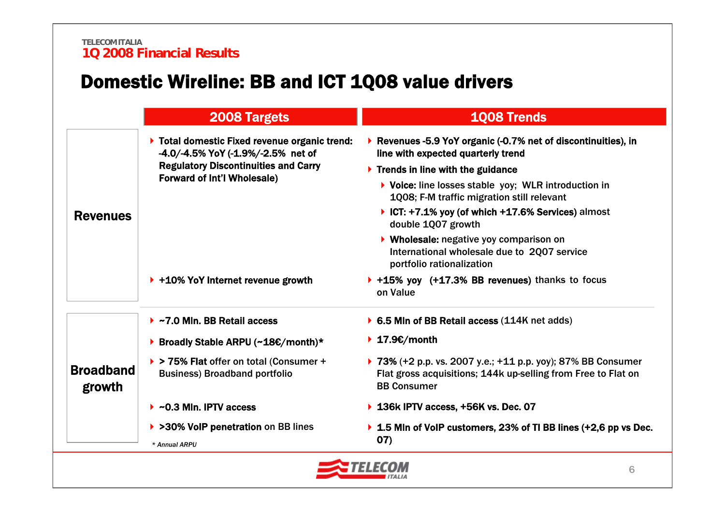## Domestic Wireline: BB and ICT 1Q08 value drivers

|  |                            | 2008 Targets                                                                                                        | <b>1008 Trends</b>                                                                                                                                  |
|--|----------------------------|---------------------------------------------------------------------------------------------------------------------|-----------------------------------------------------------------------------------------------------------------------------------------------------|
|  |                            | ▶ Total domestic Fixed revenue organic trend:<br>$-4.0/ -4.5\%$ YoY (-1.9%/-2.5% net of                             | ▶ Revenues -5.9 YoY organic (-0.7% net of discontinuities), in<br>line with expected quarterly trend                                                |
|  |                            | <b>Regulatory Discontinuities and Carry</b>                                                                         | $\triangleright$ Trends in line with the guidance                                                                                                   |
|  |                            | <b>Forward of Int'l Wholesale)</b>                                                                                  | $\triangleright$ Voice: line losses stable yoy; WLR introduction in<br>1008; F-M traffic migration still relevant                                   |
|  | <b>Revenues</b>            |                                                                                                                     | ▶ ICT: $+7.1\%$ yoy (of which $+17.6\%$ Services) almost<br>double 1Q07 growth                                                                      |
|  |                            | ▶ Wholesale: negative yoy comparison on<br>International wholesale due to 2007 service<br>portfolio rationalization |                                                                                                                                                     |
|  |                            | $\triangleright$ +10% YoY Internet revenue growth                                                                   | ▶ +15% yoy (+17.3% BB revenues) thanks to focus<br>on Value                                                                                         |
|  |                            | $\triangleright$ ~7.0 Mln. BB Retail access                                                                         | ▶ 6.5 Mln of BB Retail access (114K net adds)                                                                                                       |
|  |                            | ▶ Broadly Stable ARPU (~18€/month)*                                                                                 | ▶ 17.9 $€/$ month                                                                                                                                   |
|  | <b>Broadband</b><br>growth | > > 75% Flat offer on total (Consumer +<br><b>Business) Broadband portfolio</b>                                     | ▶ 73% (+2 p.p. vs. 2007 y.e.; +11 p.p. yoy); 87% BB Consumer<br>Flat gross acquisitions; 144k up-selling from Free to Flat on<br><b>BB Consumer</b> |
|  |                            | $\triangleright$ ~0.3 Mln. IPTV access                                                                              | ▶ 136k IPTV access, +56K vs. Dec. 07                                                                                                                |
|  |                            | ▶ >30% VoIP penetration on BB lines<br>* Annual ARPU                                                                | $\triangleright$ 1.5 Mln of VoIP customers, 23% of TI BB lines (+2,6 pp vs Dec.<br>07)                                                              |

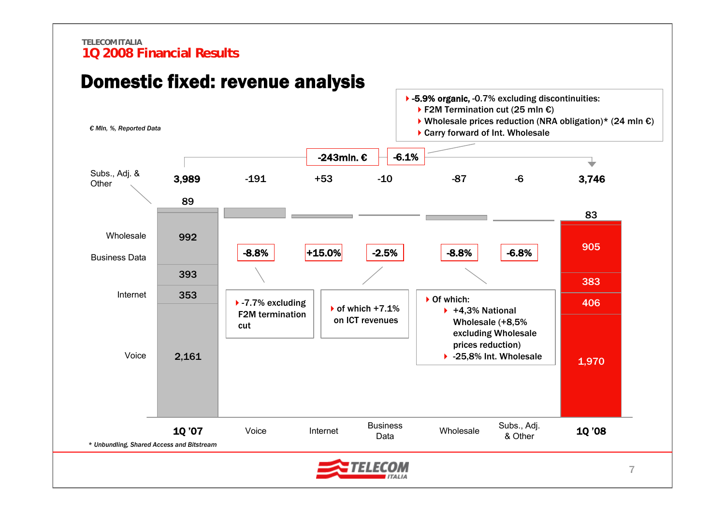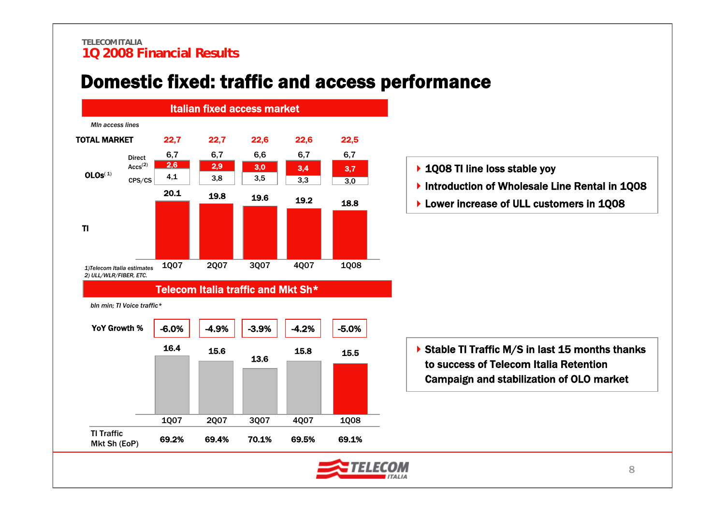## Domestic fixed: traffic and access performance

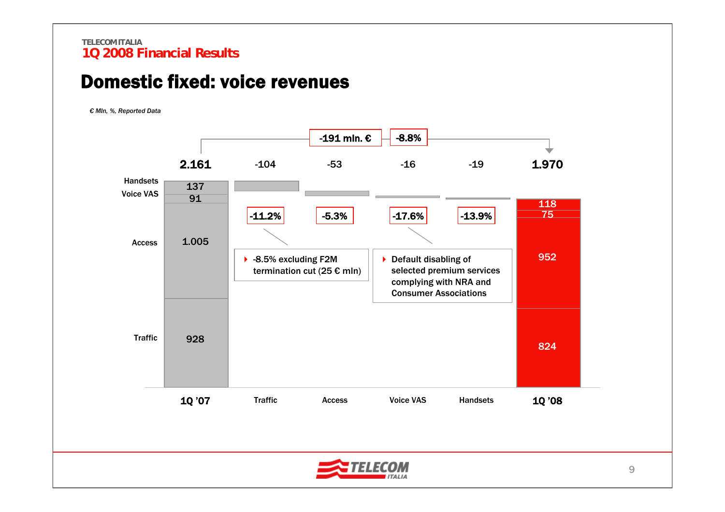### Domestic fixed: voice revenues

*€ Mln, %, Reported Data*

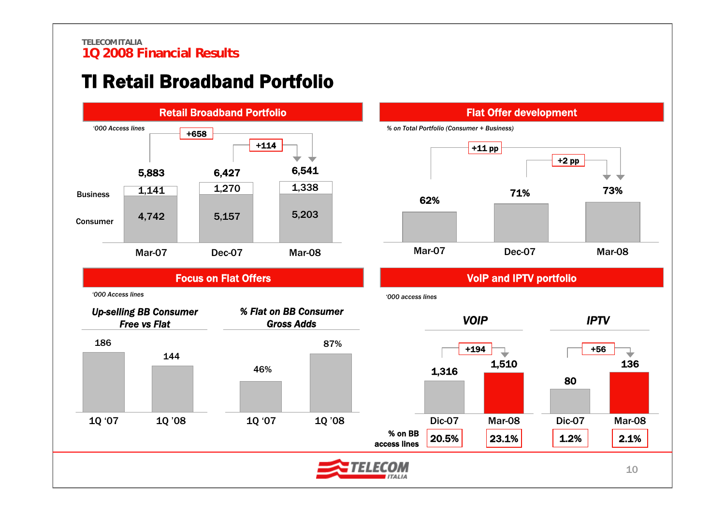## TI Retail Broadband Portfolio



### Flat Offer development

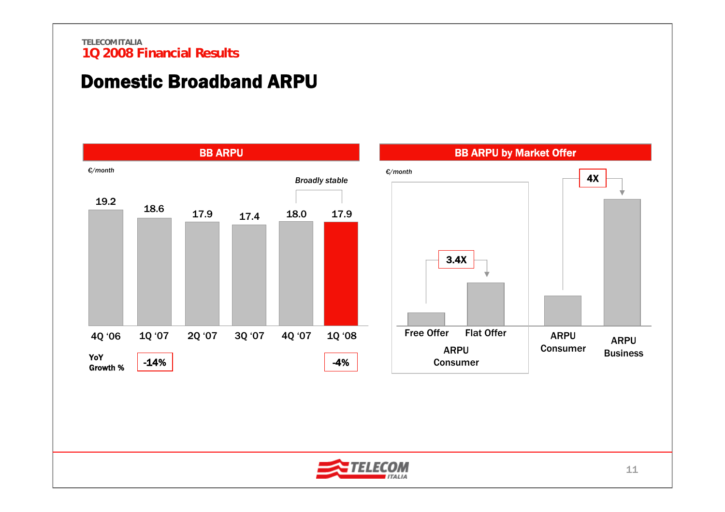## Domestic Broadband ARPU



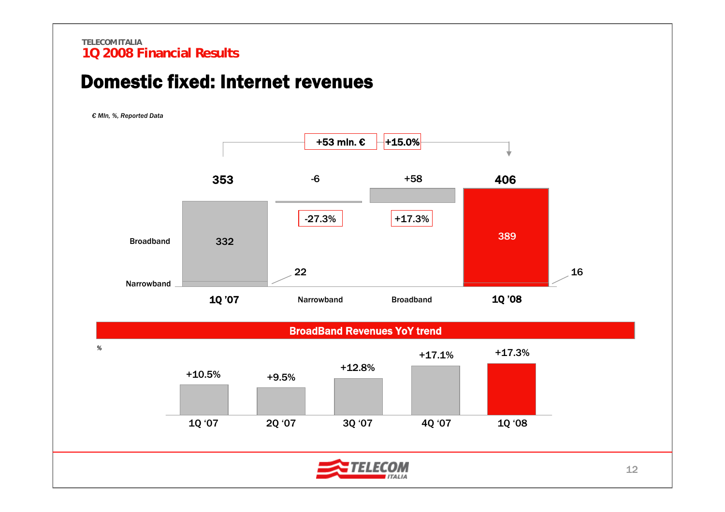### Domestic fixed: Internet revenues

*€ Mln, %, Reported Data*



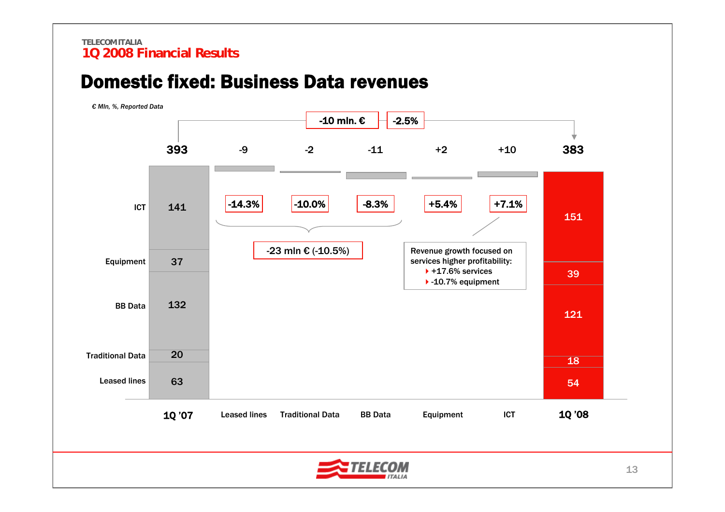## Domestic fixed: Business Data revenues

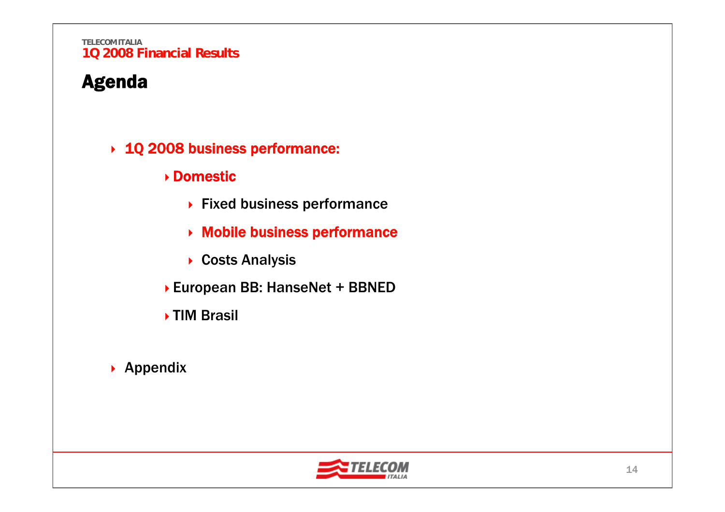## Agenda

- 1Q 2008 business performance:
	- Domestic
		- ▶ Fixed business performance
		- Mobile business performance
		- ▶ Costs Analysis
	- European BB: HanseNet + BBNED
	- **▶ TIM Brasil**
- $\rightarrow$  Appendix

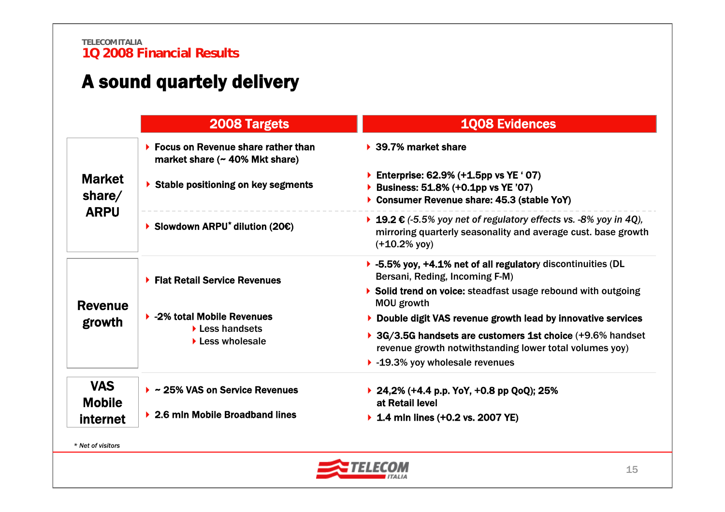## A sound quartely delivery

|                             | 2008 Targets                                                                                  | <b>1Q08 Evidences</b>                                                                                                                                 |  |  |  |  |  |
|-----------------------------|-----------------------------------------------------------------------------------------------|-------------------------------------------------------------------------------------------------------------------------------------------------------|--|--|--|--|--|
|                             | $\triangleright$ Focus on Revenue share rather than<br>market share $($ $\sim$ 40% Mkt share) | $\triangleright$ 39.7% market share                                                                                                                   |  |  |  |  |  |
| <b>Market</b><br>share $/$  | ▶ Stable positioning on key segments                                                          | Enterprise: $62.9\%$ (+1.5pp vs YE '07)<br>Business: 51.8% (+0.1pp vs YE '07)<br>Consumer Revenue share: 45.3 (stable YoY)                            |  |  |  |  |  |
| <b>ARPU</b>                 | Slowdown ARPU <sup>*</sup> dilution (20€)                                                     | ▶ 19.2 € (-5.5% yoy net of regulatory effects vs. -8% yoy in 4Q),<br>mirroring quarterly seasonality and average cust. base growth<br>$(+10.2\%$ yoy) |  |  |  |  |  |
|                             | ▶ Flat Retail Service Revenues                                                                | ▶ -5.5% yoy, +4.1% net of all regulatory discontinuities (DL<br>Bersani, Reding, Incoming F-M)                                                        |  |  |  |  |  |
| <b>Revenue</b>              |                                                                                               | Solid trend on voice: steadfast usage rebound with outgoing<br><b>MOU growth</b>                                                                      |  |  |  |  |  |
| growth                      | ▶ -2% total Mobile Revenues                                                                   | ▶ Double digit VAS revenue growth lead by innovative services                                                                                         |  |  |  |  |  |
|                             | $\blacktriangleright$ Less handsets<br>$\blacktriangleright$ Less wholesale                   | ▶ 3G/3.5G handsets are customers 1st choice (+9.6% handset<br>revenue growth notwithstanding lower total volumes yoy)                                 |  |  |  |  |  |
|                             |                                                                                               | $\blacktriangleright$ -19.3% yoy wholesale revenues                                                                                                   |  |  |  |  |  |
| <b>VAS</b><br><b>Mobile</b> | $\triangleright$ ~ 25% VAS on Service Revenues                                                | ▶ 24,2% (+4.4 p.p. YoY, +0.8 pp QoQ); 25%<br>at Retail level                                                                                          |  |  |  |  |  |
| internet                    | $\triangleright$ 2.6 mln Mobile Broadband lines                                               | ▶ 1.4 mln lines $(+0.2$ vs. 2007 YE)                                                                                                                  |  |  |  |  |  |

*\* Net of visitors*

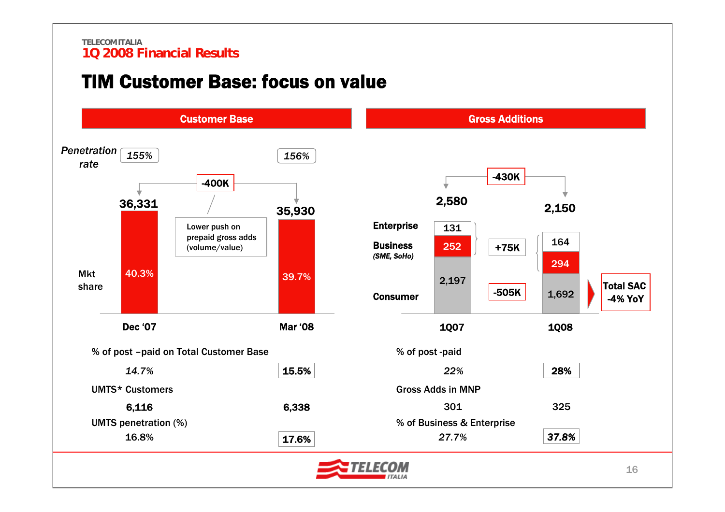## TIM Customer Base: focus on value

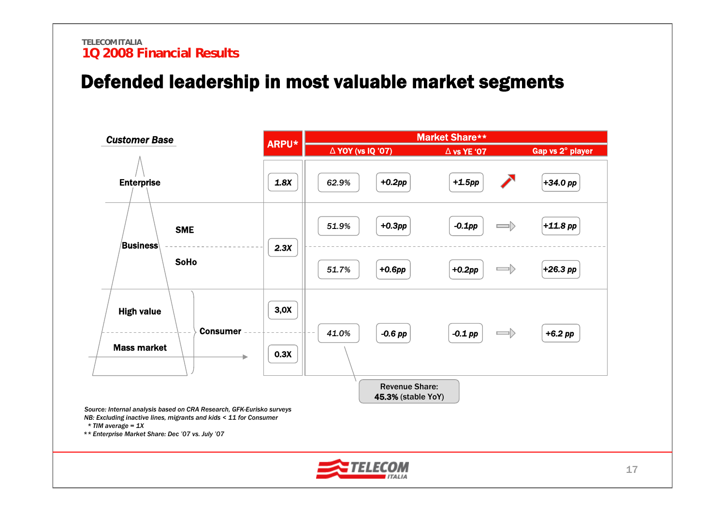## Defended leadership in most valuable market segments

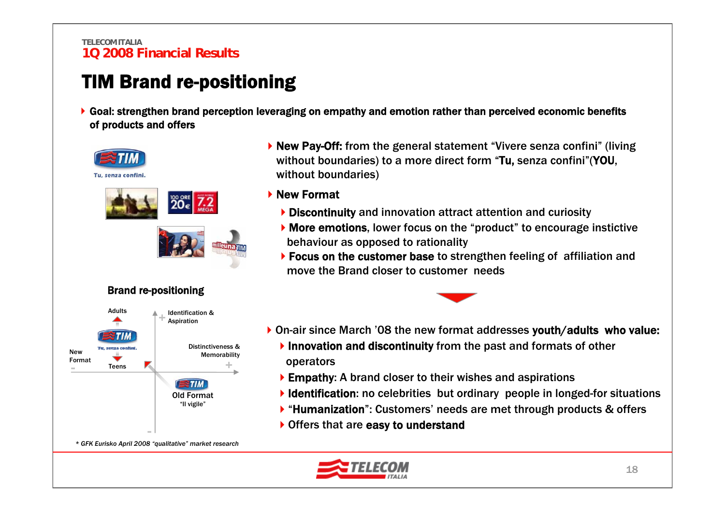## TIM Brand re-positioning

Goal: strengthen brand perception leveraging on empathy and emotion rather than perceived economic benefits of products and offers



▶ New Pay-Off: from the general statement "Vivere senza confini" (living without boundaries) to a more direct form "Tu, senza confini"(YOU, without boundaries)

### New Format

- Discontinuity and innovation attract attention and curiosity
- More emotions, lower focus on the "product" to encourage instictive behaviour as opposed to rationality
- ▶ Focus on the customer base to strengthen feeling of affiliation and move the Brand closer to customer needs



- ▶ On-air since March '08 the new format addresses youth/adults who value:
	- Innovation and discontinuity from the past and formats of other operators
	- ▶ Empathy: A brand closer to their wishes and aspirations
	- Identification: no celebrities but ordinary people in longed-for situations
	- ▶ "Humanization": Customers' needs are met through products & offers
	- ▶ Offers that are easy to understand

*\* GFK Eurisko April 2008 "qualitative" market research*

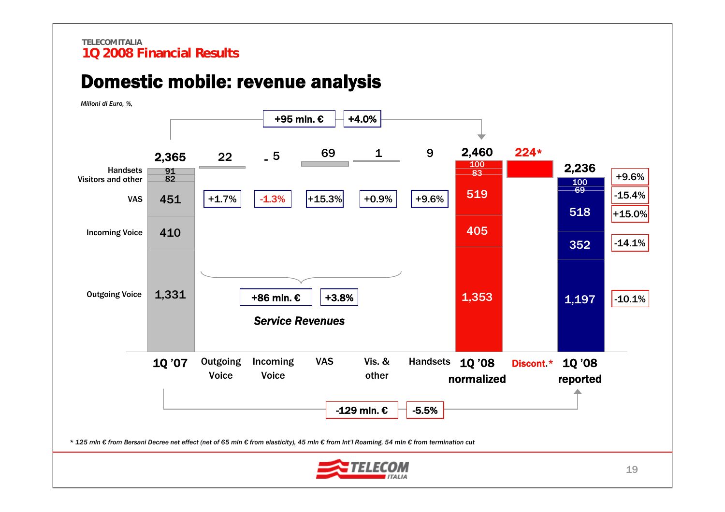### Domestic mobile: revenue analysis



19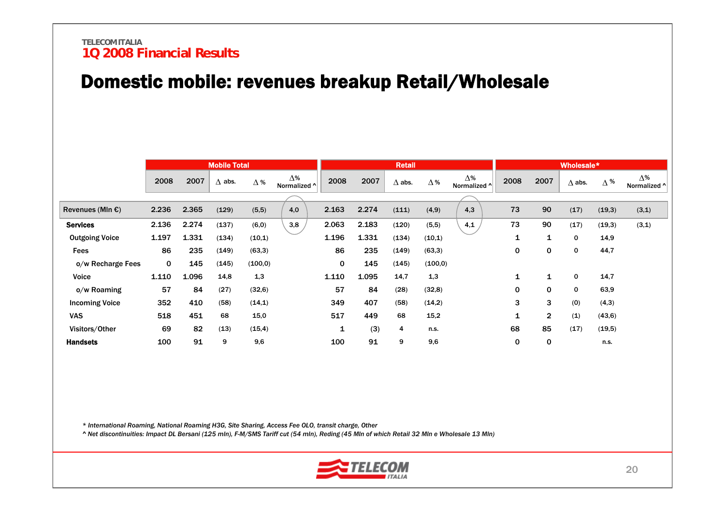## Domestic mobile: revenues breakup Retail/Wholesale

|                            |             |       | <b>Mobile Total</b> |            |                             |       |       | <b>Retail</b> |            |                            |      |                | Wholesale*    |            |                            |
|----------------------------|-------------|-------|---------------------|------------|-----------------------------|-------|-------|---------------|------------|----------------------------|------|----------------|---------------|------------|----------------------------|
|                            | 2008        | 2007  | $\Delta$ abs.       | $\Delta$ % | $\Lambda\%$<br>Normalized ^ | 2008  | 2007  | $\Delta$ abs. | $\Delta$ % | $\Delta\%$<br>Normalized ^ | 2008 | 2007           | $\Delta$ abs. | $\Delta$ % | $\Delta\%$<br>Normalized ^ |
|                            |             |       |                     |            |                             |       |       |               |            |                            |      |                |               |            |                            |
| Revenues (MIn $\epsilon$ ) | 2.236       | 2.365 | (129)               | (5,5)      | 4,0                         | 2.163 | 2.274 | (111)         | (4, 9)     | 4,3                        | 73   | 90             | (17)          | (19,3)     | (3,1)                      |
| <b>Services</b>            | 2.136       | 2.274 | (137)               | (6, 0)     | 3,8                         | 2.063 | 2.183 | (120)         | (5,5)      | 4,1                        | 73   | 90             | (17)          | (19,3)     | (3,1)                      |
| <b>Outgoing Voice</b>      | 1.197       | 1.331 | (134)               | (10,1)     |                             | 1.196 | 1.331 | (134)         | (10,1)     |                            | 1    | 1              | 0             | 14,9       |                            |
| <b>Fees</b>                | 86          | 235   | (149)               | (63,3)     |                             | 86    | 235   | (149)         | (63,3)     |                            | 0    | 0              | 0             | 44,7       |                            |
| o/w Recharge Fees          | $\mathbf 0$ | 145   | (145)               | (100, 0)   |                             | 0     | 145   | (145)         | (100, 0)   |                            |      |                |               |            |                            |
| Voice                      | 1.110       | 1.096 | 14,8                | 1,3        |                             | 1.110 | 1.095 | 14,7          | 1,3        |                            | 1    | 1              | 0             | 14,7       |                            |
| o/w Roaming                | 57          | 84    | (27)                | (32,6)     |                             | 57    | 84    | (28)          | (32, 8)    |                            | 0    | $\mathbf{0}$   | 0             | 63,9       |                            |
| <b>Incoming Voice</b>      | 352         | 410   | (58)                | (14,1)     |                             | 349   | 407   | (58)          | (14,2)     |                            | 3    | 3              | (0)           | (4,3)      |                            |
| <b>VAS</b>                 | 518         | 451   | 68                  | 15,0       |                             | 517   | 449   | 68            | 15,2       |                            | 1    | $\overline{2}$ | (1)           | (43, 6)    |                            |
| Visitors/Other             | 69          | 82    | (13)                | (15, 4)    |                             | 1     | (3)   | 4             | n.s.       |                            | 68   | 85             | (17)          | (19,5)     |                            |
| <b>Handsets</b>            | 100         | 91    | 9                   | 9,6        |                             | 100   | 91    | 9             | 9,6        |                            | 0    | 0              |               | n.s.       |                            |

*\* International Roaming, National Roaming H3G, Site Sharing, Access Fee OLO, transit charge, Other* 

*^ Net discontinuities: Impact DL Bersani (125 mln), F-M/SMS Tariff cut (54 mln), Reding (45 Mln of which Retail 32 Mln e Wholesale 13 Mln)*

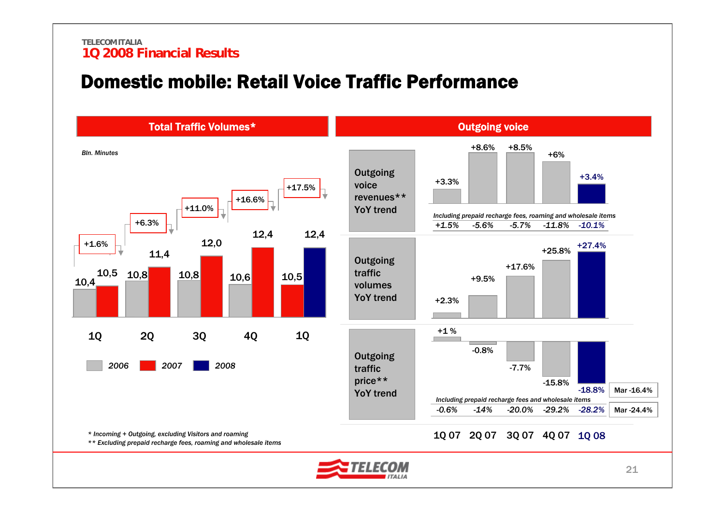### Domestic mobile: Retail Voice Traffic Performance

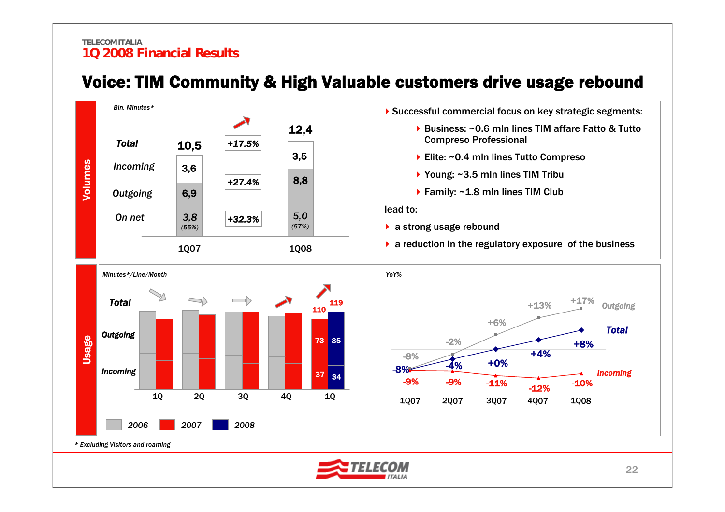

### Voice: TIM Community & High Valuable customers drive usage rebound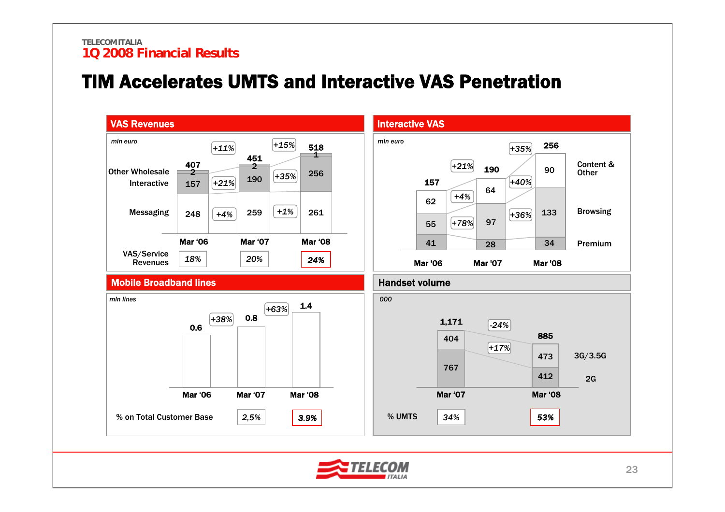## TIM Accelerates UMTS and Interactive VAS Penetration

![](_page_23_Figure_2.jpeg)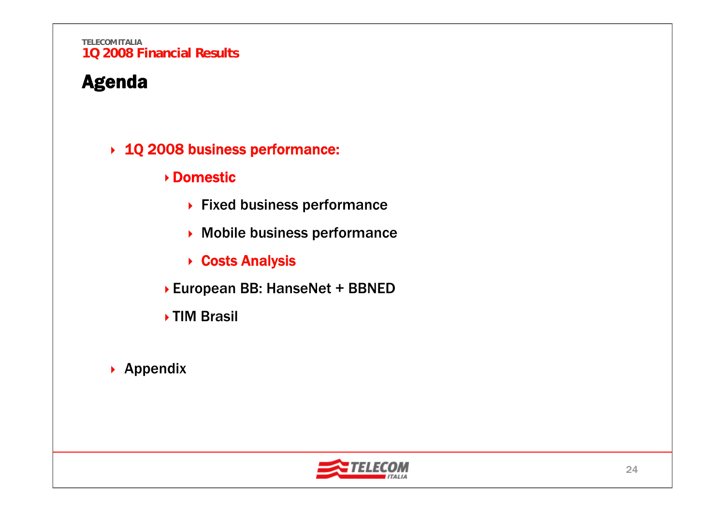## Agenda

### 1Q 2008 business performance:

### Domestic

- ▶ Fixed business performance
- Mobile business performance
- **▶ Costs Analysis**
- European BB: HanseNet + BBNED
- ▶ TIM Brasil
- ▶ Appendix

![](_page_24_Picture_10.jpeg)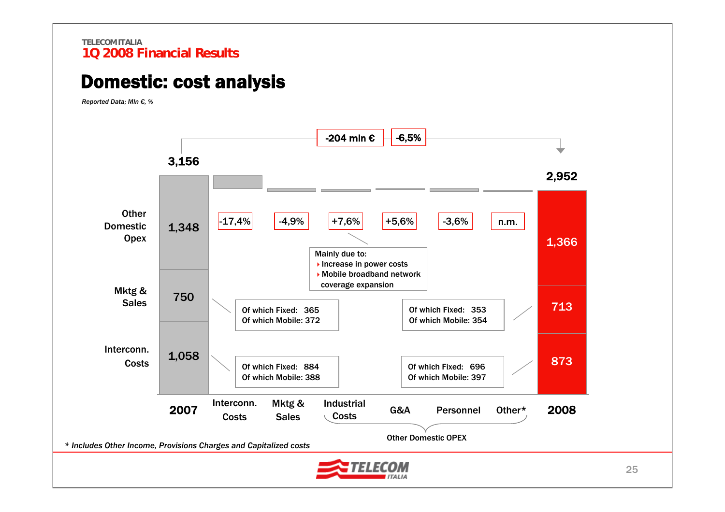## Domestic: cost analysis

*Reported Data; Mln €, %*

![](_page_25_Figure_3.jpeg)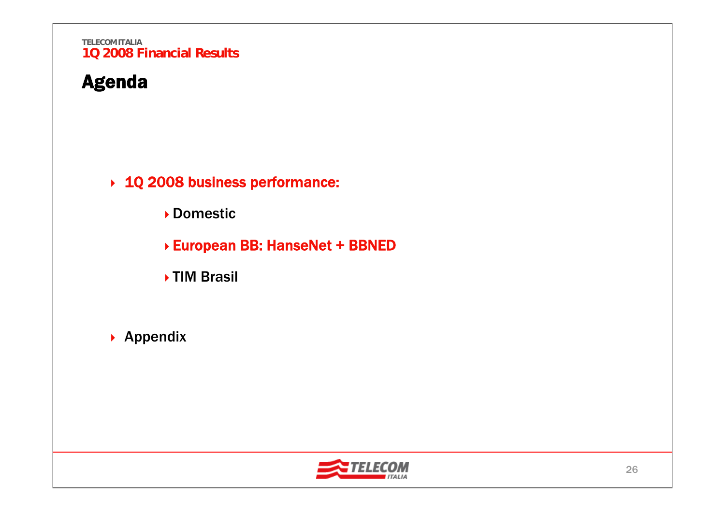## Agenda

1Q 2008 business performance:

Domestic

European BB: HanseNet + BBNED

**▶TIM Brasil** 

▶ Appendix

![](_page_26_Picture_7.jpeg)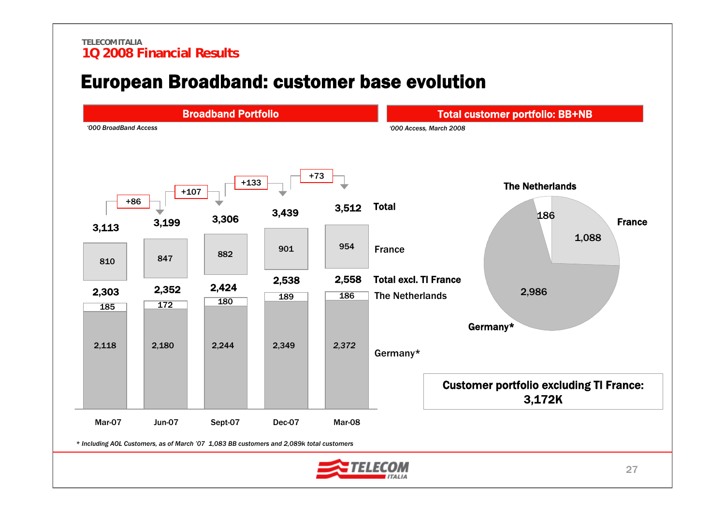## European Broadband: customer base evolution

![](_page_27_Figure_2.jpeg)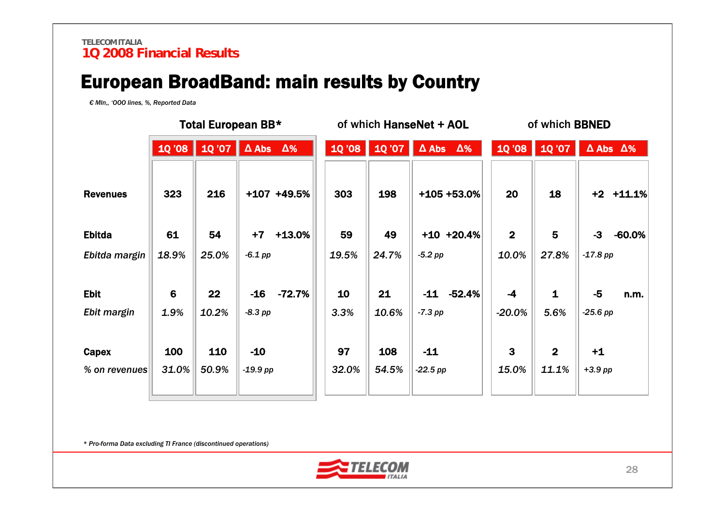## European BroadBand: main results by Country

*€ Mln,, 'OOO lines, %, Reported Data*

|                            |                        | Total European BB* |                         |               | of which HanseNet + AOL |                 |                         |              | of which BBNED                   |                         |                    |                         |
|----------------------------|------------------------|--------------------|-------------------------|---------------|-------------------------|-----------------|-------------------------|--------------|----------------------------------|-------------------------|--------------------|-------------------------|
|                            |                        | 10'08   10'07      | $\Delta$ Abs $\Delta\%$ |               |                         | $10'08$ $10'07$ | $\Delta$ Abs $\Delta\%$ |              | 10'08                            | 1Q'07                   |                    | $\Delta$ Abs $\Delta\%$ |
| <b>Revenues</b>            | 323                    | 216                |                         | $+107 +49.5%$ | 303                     | 198             | +105 +53.0%             |              | 20                               | 18                      |                    | $+2$ $+11.1%$           |
| <b>Ebitda</b>              | 61                     | 54                 | $+7$                    | $+13.0%$      | 59                      | 49              |                         | $+10$ +20.4% | $\overline{2}$                   | 5                       | $-3$               | $-60.0%$                |
| Ebitda margin              | 18.9%                  | 25.0%              | $-6.1$ pp               |               | 19.5%                   | 24.7%           | $-5.2$ pp               |              | 10.0%                            | 27.8%                   | $-17.8$ pp         |                         |
| <b>Ebit</b><br>Ebit margin | $6\phantom{1}$<br>1.9% | 22<br>10.2%        | $-16$<br>$-8.3$ pp      | -72.7%        | 10<br>3.3%              | 21<br>10.6%     | $-11$<br>$-7.3$ pp      | $-52.4%$     | $-4$<br>$-20.0%$                 | $\mathbf{1}$<br>5.6%    | $-5$<br>$-25.6$ pp | n.m.                    |
| Capex<br>% on revenues     | 100<br>31.0%           | 110<br>50.9%       | $-10$<br>$-19.9$ pp     |               | 97<br>32.0%             | 108<br>54.5%    | $-11$<br>$-22.5$ pp     |              | $\overline{\mathbf{3}}$<br>15.0% | $\overline{2}$<br>11.1% | $+1$<br>$+3.9$ pp  |                         |

*\* Pro-forma Data excluding TI France (discontinued operations)*

![](_page_28_Picture_5.jpeg)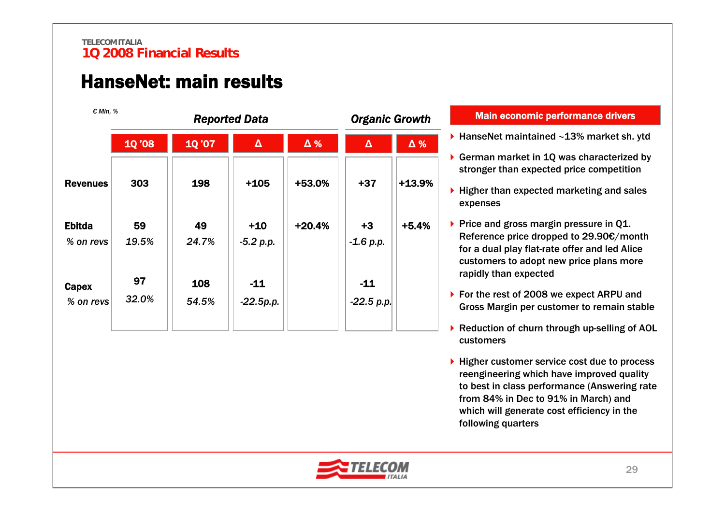## HanseNet: main results

| € MIn. %                   |               |              | <b>Reported Data</b> | <b>Organic Growth</b> |                       |            |  |
|----------------------------|---------------|--------------|----------------------|-----------------------|-----------------------|------------|--|
|                            | <b>10 '08</b> | 1Q '07       | $\pmb{\Delta}$       | $\Delta\%$            | $\pmb{\Delta}$        | $\Delta$ % |  |
| <b>Revenues</b>            | 303           | 198          | $+105$               | +53.0%                | $+37$                 | $+13.9%$   |  |
| <b>Ebitda</b><br>% on revs | 59<br>19.5%   | 49<br>24.7%  | $+10$<br>$-5.2 p.p.$ | $+20.4%$              | $+3$<br>$-1.6 p.p.$   | $+5.4%$    |  |
| Capex<br>% on revs         | 97<br>32.0%   | 108<br>54.5% | $-11$<br>$-22.5p.p.$ |                       | $-11$<br>$-22.5$ p.p. |            |  |

### Main economic performance drivers

- HanseNet maintained ∼13% market sh. ytd
- ▶ German market in 1Q was characterized by stronger than expected price competition
- $\blacktriangleright$  Higher than expected marketing and sales expenses

Price and gross margin pressure in Q1. Reference price dropped to 29.90€/month for a dual play flat-rate offer and led Alice customers to adopt new price plans more rapidly than expected

- ▶ For the rest of 2008 we expect ARPU and Gross Margin per customer to remain stable
- ▶ Reduction of churn through up-selling of AOL customers
- ▶ Higher customer service cost due to process reengineering which have improved quality to best in class performance (Answering rate from 84% in Dec to 91% in March) and which will generate cost efficiency in the following quarters

![](_page_29_Picture_11.jpeg)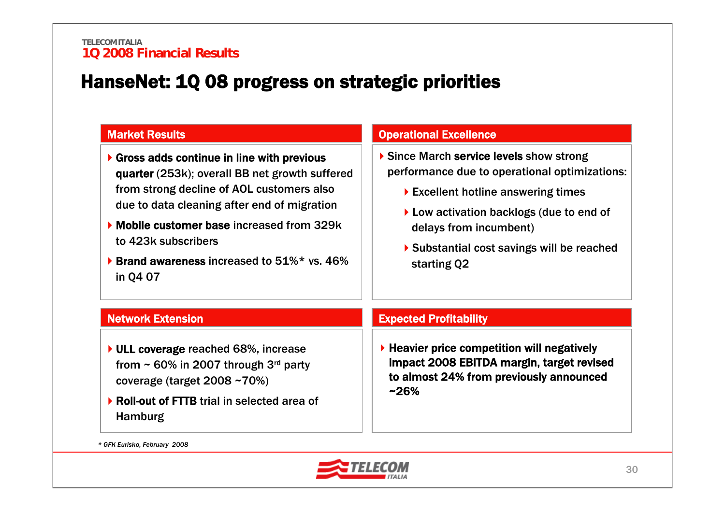## HanseNet: 1Q 08 progress on strategic priorities

| <b>Market Results</b>                                                                                                                                                                                                                                                                                                   | <b>Operational Excellence</b>                                                                                                                                                                                                                                                                                            |  |  |  |  |
|-------------------------------------------------------------------------------------------------------------------------------------------------------------------------------------------------------------------------------------------------------------------------------------------------------------------------|--------------------------------------------------------------------------------------------------------------------------------------------------------------------------------------------------------------------------------------------------------------------------------------------------------------------------|--|--|--|--|
| Gross adds continue in line with previous<br>quarter (253k); overall BB net growth suffered<br>from strong decline of AOL customers also<br>due to data cleaning after end of migration<br>• Mobile customer base increased from 329k<br>to 423k subscribers<br>▶ Brand awareness increased to 51%* vs. 46%<br>in Q4 07 | Since March service levels show strong<br>performance due to operational optimizations:<br>$\blacktriangleright$ Excellent hotline answering times<br>$\blacktriangleright$ Low activation backlogs (due to end of<br>delays from incumbent)<br>$\triangleright$ Substantial cost savings will be reached<br>starting Q2 |  |  |  |  |
| <b>Network Extension</b>                                                                                                                                                                                                                                                                                                | <b>Expected Profitability</b>                                                                                                                                                                                                                                                                                            |  |  |  |  |
| $\triangleright$ ULL coverage reached 68%, increase<br>from $\sim$ 60% in 2007 through 3 <sup>rd</sup> party<br>coverage (target $2008 - 70\%)$<br>▶ Roll-out of FTTB trial in selected area of<br><b>Hamburg</b>                                                                                                       | $\blacktriangleright$ Heavier price competition will negatively<br>impact 2008 EBITDA margin, target revised<br>to almost 24% from previously announced<br>$~26\%$                                                                                                                                                       |  |  |  |  |

*\* GFK Eurisko, February 2008*

![](_page_30_Picture_4.jpeg)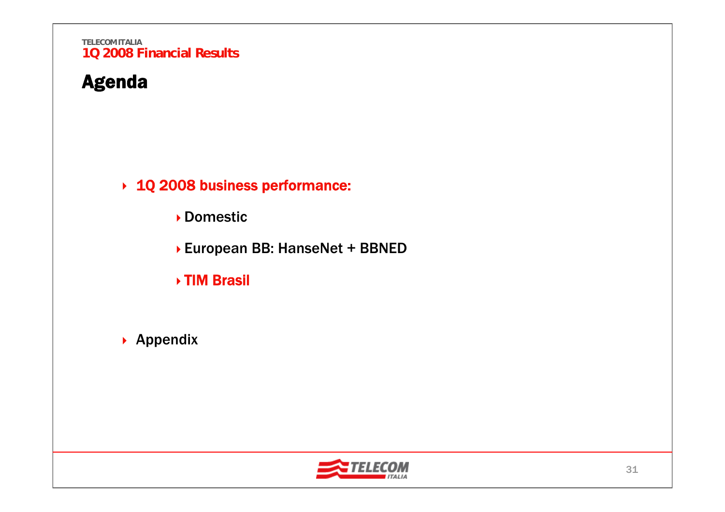## Agenda

→ 1Q 2008 business performance:

Domestic

▶ European BB: HanseNet + BBNED

TIM Brasil

▶ Appendix

![](_page_31_Picture_7.jpeg)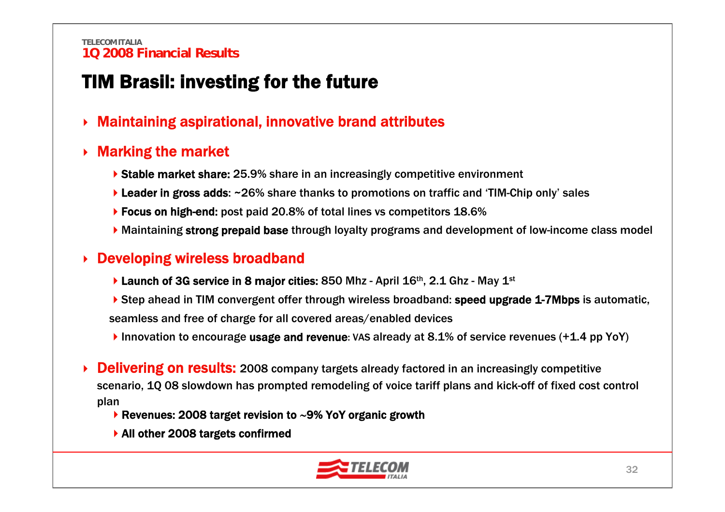## TIM Brasil: investing for the future

▶ Maintaining aspirational, innovative brand attributes

#### ▶ Marking the market

- ▶ Stable market share: 25.9% share in an increasingly competitive environment
- ▶ Leader in gross adds: ~26% share thanks to promotions on traffic and 'TIM-Chip only' sales
- ▶ Focus on high-end: post paid 20.8% of total lines vs competitors 18.6%
- Maintaining strong prepaid base through loyalty programs and development of low-income class model

### **▶ Developing wireless broadband**

- **Launch of 3G service in 8 major cities: 850 Mhz April 16th, 2.1 Ghz May 1st**
- ▶ Step ahead in TIM convergent offer through wireless broadband: speed upgrade 1-7Mbps is automatic, seamless and free of charge for all covered areas/enabled devices
- Innovation to encourage usage and revenue: VAS already at 8.1% of service revenues (+1.4 pp YoY)
- ▶ **Delivering on results:** 2008 company targets already factored in an increasingly competitive scenario, 1Q 08 slowdown has prompted remodeling of voice tariff plans and kick-off of fixed cost control plan
	- Revenues: 2008 target revision to ∼9% YoY organic growth
	- ▶ All other 2008 targets confirmed

![](_page_32_Picture_15.jpeg)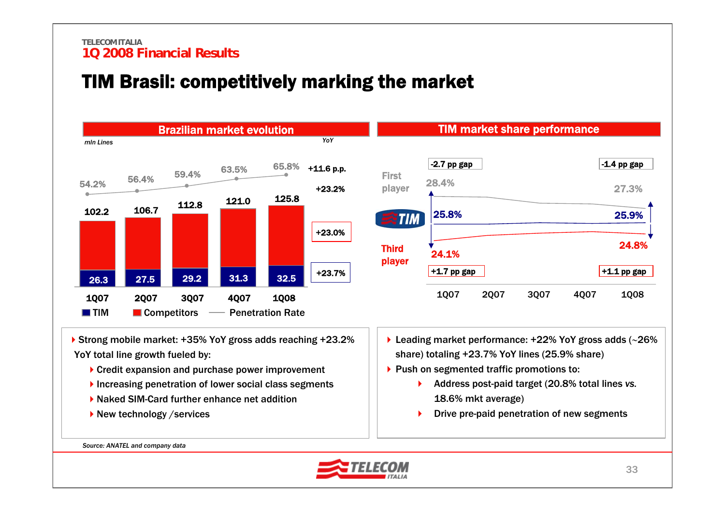## TIM Brasil: competitively marking the market

![](_page_33_Figure_2.jpeg)

- ▶ Strong mobile market: +35% YoY gross adds reaching +23.2% YoY total line growth fueled by:
	- ▶ Credit expansion and purchase power improvement
	- Increasing penetration of lower social class segments
	- ▶ Naked SIM-Card further enhance net addition
	- ▶ New technology / services
- Leading market performance: +22% YoY gross adds (∼26% share) totaling +23.7% YoY lines (25.9% share)
- $\blacktriangleright$  Push on segmented traffic promotions to:
	- Address post-paid target (20.8% total lines *vs.* 18.6% mkt average)
	- $\blacktriangleright$ Drive pre-paid penetration of new segments

*Source: ANATEL and company data*

![](_page_33_Picture_13.jpeg)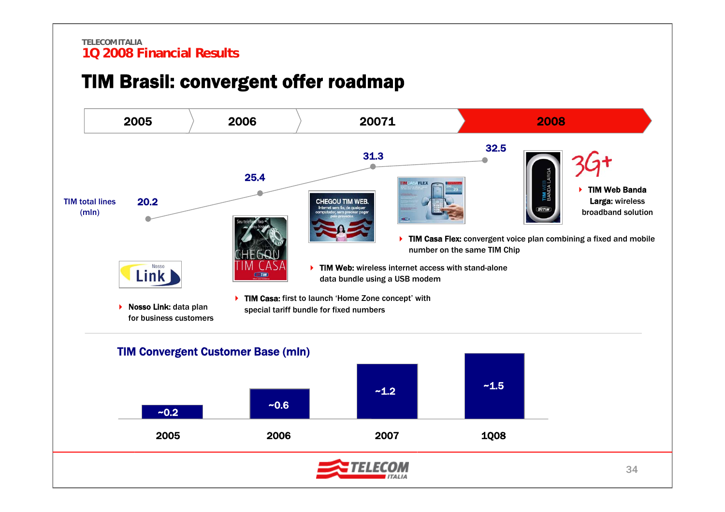## TIM Brasil: convergent offer roadmap

![](_page_34_Figure_2.jpeg)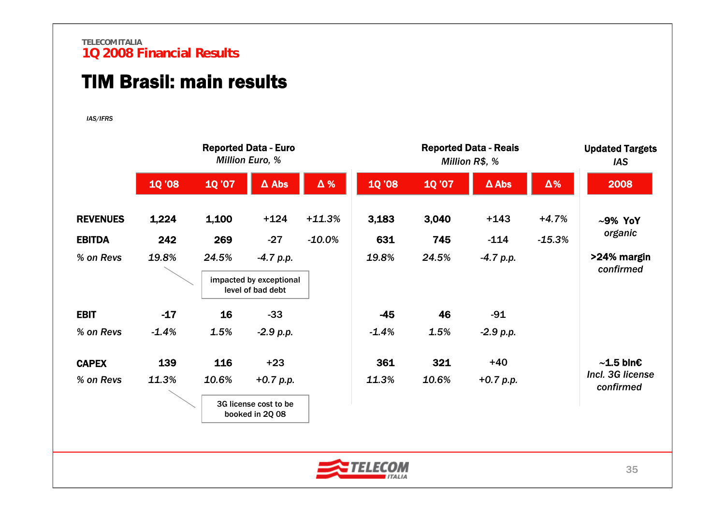## TIM Brasil: main results

*IAS/IFRS*

|                 |               | <b>Reported Data - Euro</b><br><b>Million Euro, %</b> |                                              |            |               |              | <b>Updated Targets</b><br><b>IAS</b> |            |                               |
|-----------------|---------------|-------------------------------------------------------|----------------------------------------------|------------|---------------|--------------|--------------------------------------|------------|-------------------------------|
|                 | <b>10 '08</b> | <b>10'07</b>                                          | $\Delta$ Abs                                 | $\Delta$ % | <b>10 '08</b> | <b>10'07</b> | $\Delta$ Abs                         | $\Delta\%$ | 2008                          |
| <b>REVENUES</b> | 1,224         | 1,100                                                 | $+124$                                       | $+11.3%$   | 3,183         | 3,040        | $+143$                               | $+4.7%$    | $~10\%$ YoY                   |
| <b>EBITDA</b>   | 242           | 269                                                   | $-27$                                        | $-10.0\%$  | 631           | 745          | $-114$                               | $-15.3%$   | organic                       |
| % on Revs       | 19.8%         | 24.5%                                                 | $-4.7 p.p.$                                  |            | 19.8%         | 24.5%        | $-4.7 p.p.$                          |            | >24% margin<br>confirmed      |
|                 |               |                                                       | impacted by exceptional<br>level of bad debt |            |               |              |                                      |            |                               |
| <b>EBIT</b>     | $-17$         | 16                                                    | $-33$                                        |            | $-45$         | 46           | $-91$                                |            |                               |
| % on Revs       | $-1.4%$       | 1.5%                                                  | $-2.9 p.p.$                                  |            | $-1.4%$       | 1.5%         | $-2.9 p.p.$                          |            |                               |
| <b>CAPEX</b>    | 139           | 116                                                   | $+23$                                        |            | 361           | 321          | $+40$                                |            | $\sim$ 1.5 bln $\epsilon$     |
| % on Revs       | 11.3%         | 10.6%                                                 | $+0.7 p.p.$                                  |            | 11.3%         | 10.6%        | $+0.7 p.p.$                          |            | Incl. 3G license<br>confirmed |
|                 |               |                                                       | 3G license cost to be<br>booked in 2Q 08     |            |               |              |                                      |            |                               |

![](_page_35_Picture_4.jpeg)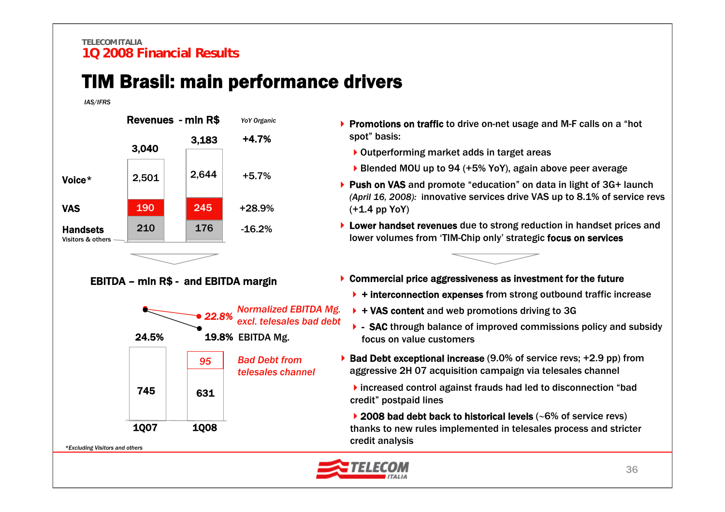## TIM Brasil: main performance drivers

#### *IAS/IFRS*

![](_page_36_Figure_3.jpeg)

### EBITDA – mln R\$ - and EBITDA margin

![](_page_36_Figure_5.jpeg)

- ▶ Promotions on traffic to drive on-net usage and M-F calls on a "hot spot" basis:
	- ▶ Outperforming market adds in target areas
	- ▶ Blended MOU up to 94 (+5% YoY), again above peer average
- ▶ Push on VAS and promote "education" on data in light of 3G+ launch *(April 16, 2008):* innovative services drive VAS up to 8.1% of service revs (+1.4 pp YoY)
- ▶ Lower handset revenues due to strong reduction in handset prices and lower volumes from 'TIM-Chip only' strategic focus on services

![](_page_36_Figure_11.jpeg)

- ▶ Commercial price aggressiveness as investment for the future
	- $\rightarrow$  + interconnection expenses from strong outbound traffic increase
	- $\rightarrow$  + VAS content and web promotions driving to 3G
	- ▶ SAC through balance of improved commissions policy and subsidy focus on value customers
- $\triangleright$  Bad Debt exceptional increase (9.0% of service revs; +2.9 pp) from aggressive 2H 07 acquisition campaign via telesales channel

increased control against frauds had led to disconnection "bad credit" postpaid lines

2008 bad debt back to historical levels (∼6% of service revs) thanks to new rules implemented in telesales process and stricter credit analysis

![](_page_36_Picture_19.jpeg)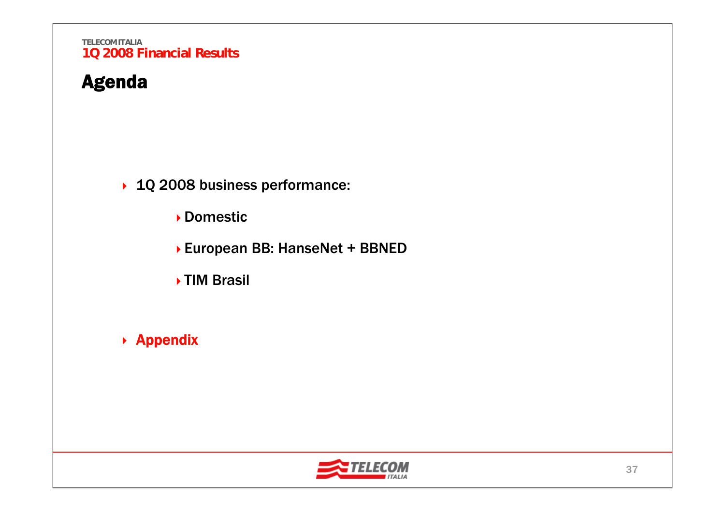## Agenda

▶ 1Q 2008 business performance:

Domestic

▶ European BB: HanseNet + BBNED

**▶TIM Brasil** 

▶ Appendix

![](_page_37_Picture_7.jpeg)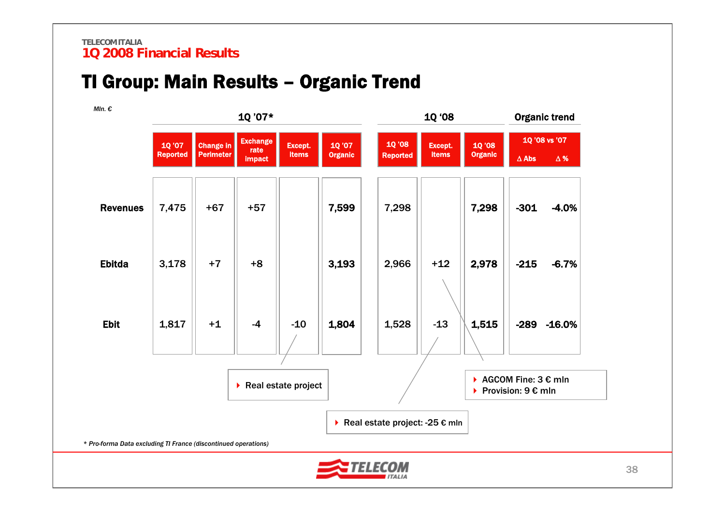## TI Group: Main Results – Organic Trend

![](_page_38_Figure_2.jpeg)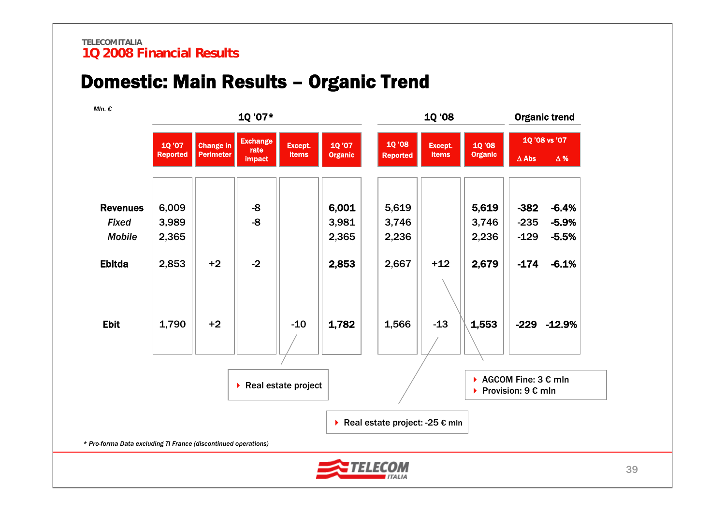## Domestic: Main Results – Organic Trend

![](_page_39_Figure_2.jpeg)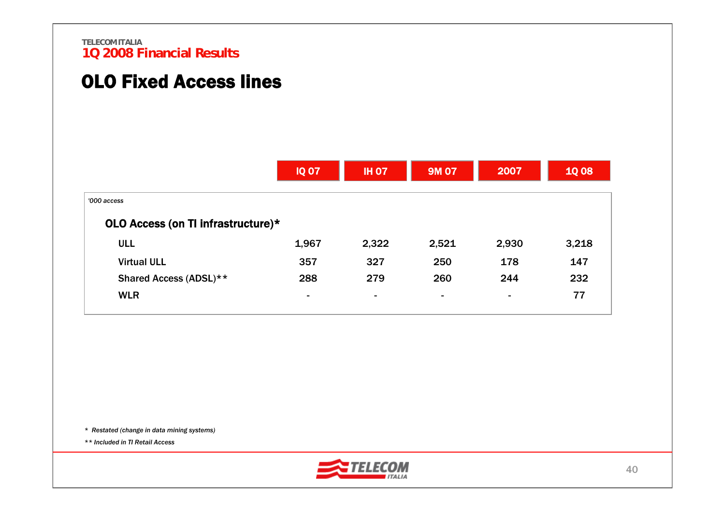## OLO Fixed Access lines

|                                    | <b>IQ 07</b>   | <b>IH 07</b>   | 9M 07                    | 2007                     | <b>1008</b> |
|------------------------------------|----------------|----------------|--------------------------|--------------------------|-------------|
| '000 access                        |                |                |                          |                          |             |
| OLO Access (on TI infrastructure)* |                |                |                          |                          |             |
| <b>ULL</b>                         | 1,967          | 2,322          | 2,521                    | 2,930                    | 3,218       |
| <b>Virtual ULL</b>                 | 357            | 327            | 250                      | 178                      | 147         |
| Shared Access (ADSL)**             | 288            | 279            | 260                      | 244                      | 232         |
| <b>WLR</b>                         | $\blacksquare$ | $\blacksquare$ | $\overline{\phantom{a}}$ | $\overline{\phantom{a}}$ | 77          |

*\* Restated (change in data mining systems)* 

*\*\* Included in TI Retail Access*

![](_page_40_Picture_5.jpeg)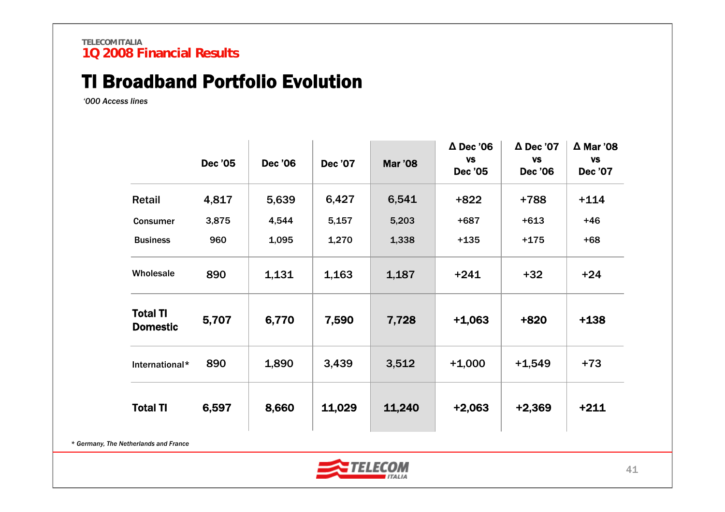## TI Broadband Portfolio Evolution

*'000 Access lines*

|                                    | <b>Dec '05</b> | <b>Dec '06</b> | <b>Dec '07</b> | <b>Mar '08</b> | $\Delta$ Dec '06<br><b>VS</b><br><b>Dec '05</b> | $\Delta$ Dec '07<br><b>VS</b><br><b>Dec '06</b> | $\Delta$ Mar '08<br><b>VS</b><br><b>Dec '07</b> |
|------------------------------------|----------------|----------------|----------------|----------------|-------------------------------------------------|-------------------------------------------------|-------------------------------------------------|
| Retail                             | 4,817          | 5,639          | 6,427          | 6,541          | $+822$                                          | +788                                            | $+114$                                          |
| <b>Consumer</b>                    | 3,875          | 4,544          | 5,157          | 5,203          | $+687$                                          | $+613$                                          | $+46$                                           |
| <b>Business</b>                    | 960            | 1,095          | 1,270          | 1,338          | $+135$                                          | $+175$                                          | $+68$                                           |
| Wholesale                          | 890            | 1,131          | 1,163          | 1,187          | $+241$                                          | $+32$                                           | $+24$                                           |
| <b>Total TI</b><br><b>Domestic</b> | 5,707          | 6,770          | 7,590          | 7,728          | $+1,063$                                        | +820                                            | $+138$                                          |
| International*                     | 890            | 1,890          | 3,439          | 3,512          | $+1,000$                                        | $+1,549$                                        | $+73$                                           |
| <b>Total TI</b>                    | 6,597          | 8,660          | 11,029         | 11,240         | $+2,063$                                        | +2,369                                          | $+211$                                          |

*\* Germany, The Netherlands and France*

![](_page_41_Picture_5.jpeg)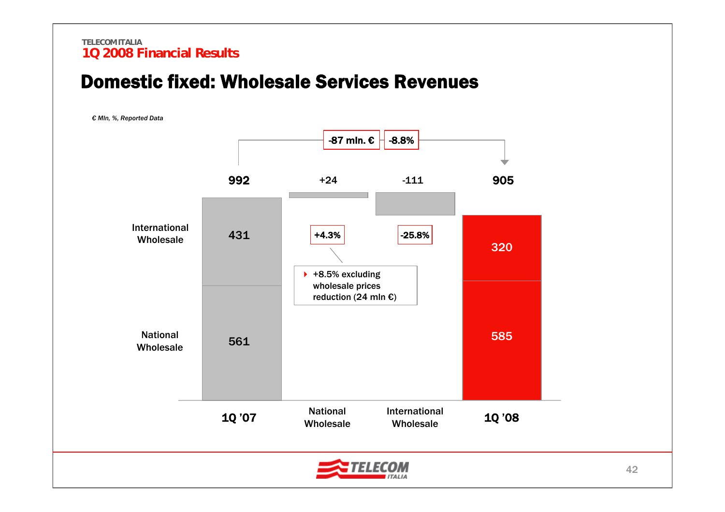### Domestic fixed: Wholesale Services Revenues

*€ Mln, %, Reported Data*

![](_page_42_Figure_3.jpeg)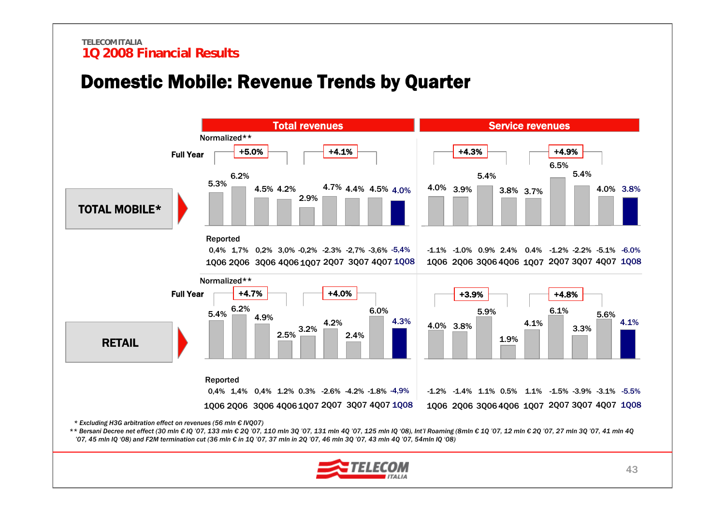### Domestic Mobile: Revenue Trends by Quarter

![](_page_43_Figure_2.jpeg)

*\* Excluding H3G arbitration effect on revenues (56 mln € IVQ07)* 

\*\* Bersani Decree net effect (30 mln € IQ '07, 133 mln € 2Q '07, 110 mln 3Q '07, 131 mln 4Q '07, 125 mln IQ '08), Int'l Roaming (8mln € 1Q '07, 12 mln € 2Q '07, 27 mln 3Q '07, 41 mln 4Q *'07, 45 mln IQ '08) and F2M termination cut (36 mln € in 1Q '07, 37 mln in 2Q '07, 46 mln 3Q '07, 43 mln 4Q '07, 54mln IQ '08)*

![](_page_43_Picture_5.jpeg)